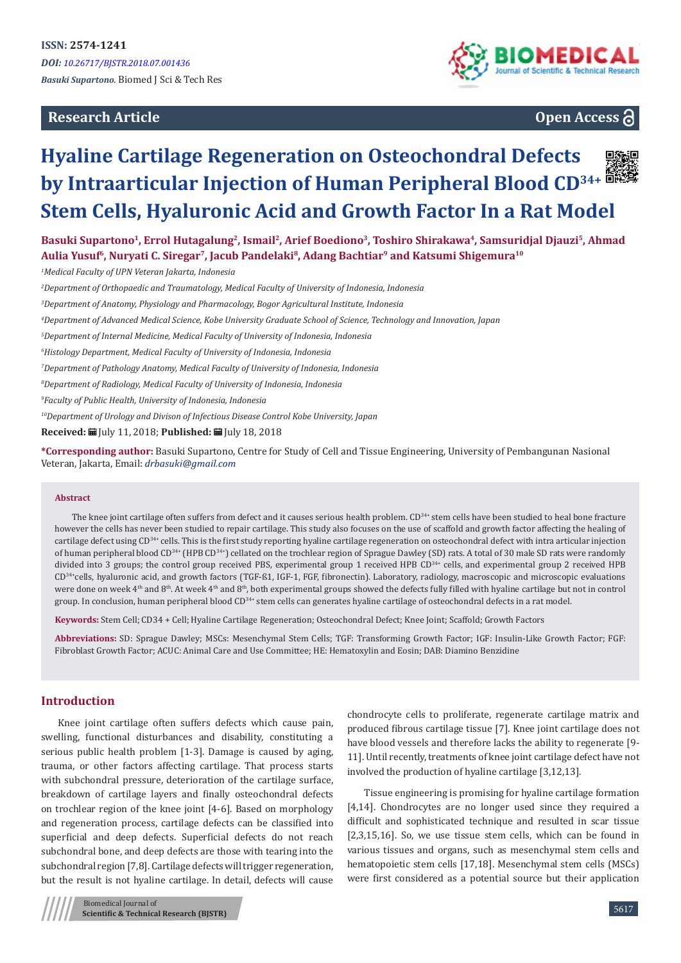**Research Article**



# **Open Access**

# **Hyaline Cartilage Regeneration on Osteochondral Defects by Intraarticular Injection of Human Peripheral Blood CD34+ Stem Cells, Hyaluronic Acid and Growth Factor In a Rat Model**

Basuki Supartono<sup>1</sup>, Errol Hutagalung<sup>2</sup>, Ismail<sup>2</sup>, Arief Boediono<sup>3</sup>, Toshiro Shirakawa<sup>4</sup>, Samsuridjal Djauzi<sup>5</sup>, Ahmad **Aulia Yusuf6, Nuryati C. Siregar7, Jacub Pandelaki8, Adang Bachtiar9 and Katsumi Shigemura10**

*1 Medical Faculty of UPN Veteran Jakarta, Indonesia*

*2 Department of Orthopaedic and Traumatology, Medical Faculty of University of Indonesia, Indonesia*

*3 Department of Anatomy, Physiology and Pharmacology, Bogor Agricultural Institute, Indonesia*

*4 Department of Advanced Medical Science, Kobe University Graduate School of Science, Technology and Innovation, Japan*

*5 Department of Internal Medicine, Medical Faculty of University of Indonesia, Indonesia*

*6 Histology Department, Medical Faculty of University of Indonesia, Indonesia*

*7 Department of Pathology Anatomy, Medical Faculty of University of Indonesia, Indonesia*

*8 Department of Radiology, Medical Faculty of University of Indonesia, Indonesia*

*9 Faculty of Public Health, University of Indonesia, Indonesia*

*10Department of Urology and Divison of Infectious Disease Control Kobe University, Japan*

**Received:** July 11, 2018; **Published:** July 18, 2018

**\*Corresponding author:** Basuki Supartono, Centre for Study of Cell and Tissue Engineering, University of Pembangunan Nasional Veteran, Jakarta, Email: drbasuki@gmail.com

#### **Abstract**

The knee joint cartilage often suffers from defect and it causes serious health problem. CD<sup>34+</sup> stem cells have been studied to heal bone fracture however the cells has never been studied to repair cartilage. This study also focuses on the use of scaffold and growth factor affecting the healing of cartilage defect using CD<sup>34+</sup> cells. This is the first study reporting hyaline cartilage regeneration on osteochondral defect with intra articular injection of human peripheral blood CD34+ (HPB CD34+) cellated on the trochlear region of Sprague Dawley (SD) rats. A total of 30 male SD rats were randomly divided into 3 groups; the control group received PBS, experimental group 1 received HPB CD34+ cells, and experimental group 2 received HPB CD34+cells, hyaluronic acid, and growth factors (TGF-ß1, IGF-1, FGF, fibronectin). Laboratory, radiology, macroscopic and microscopic evaluations were done on week 4<sup>th</sup> and 8<sup>th</sup>. At week 4<sup>th</sup> and 8<sup>th</sup>, both experimental groups showed the defects fully filled with hyaline cartilage but not in control group. In conclusion, human peripheral blood CD<sup>34+</sup> stem cells can generates hyaline cartilage of osteochondral defects in a rat model.

**Keywords:** Stem Cell; CD34 + Cell; Hyaline Cartilage Regeneration; Osteochondral Defect; Knee Joint; Scaffold; Growth Factors

**Abbreviations:** SD: Sprague Dawley; MSCs: Mesenchymal Stem Cells; TGF: Transforming Growth Factor; IGF: Insulin-Like Growth Factor; FGF: Fibroblast Growth Factor; ACUC: Animal Care and Use Committee; HE: Hematoxylin and Eosin; DAB: Diamino Benzidine

# **Introduction**

Knee joint cartilage often suffers defects which cause pain, swelling, functional disturbances and disability, constituting a serious public health problem [1-3]. Damage is caused by aging, trauma, or other factors affecting cartilage. That process starts with subchondral pressure, deterioration of the cartilage surface, breakdown of cartilage layers and finally osteochondral defects on trochlear region of the knee joint [4-6]. Based on morphology and regeneration process, cartilage defects can be classified into superficial and deep defects. Superficial defects do not reach subchondral bone, and deep defects are those with tearing into the subchondral region [7,8]. Cartilage defects will trigger regeneration, but the result is not hyaline cartilage. In detail, defects will cause

Biomedical Journal of **Scientific & Technical Research (BJSTR)** chondrocyte cells to proliferate, regenerate cartilage matrix and produced fibrous cartilage tissue [7]. Knee joint cartilage does not have blood vessels and therefore lacks the ability to regenerate [9- 11]. Until recently, treatments of knee joint cartilage defect have not involved the production of hyaline cartilage [3,12,13].

Tissue engineering is promising for hyaline cartilage formation [4,14]. Chondrocytes are no longer used since they required a difficult and sophisticated technique and resulted in scar tissue [2,3,15,16]. So, we use tissue stem cells, which can be found in various tissues and organs, such as mesenchymal stem cells and hematopoietic stem cells [17,18]. Mesenchymal stem cells (MSCs) were first considered as a potential source but their application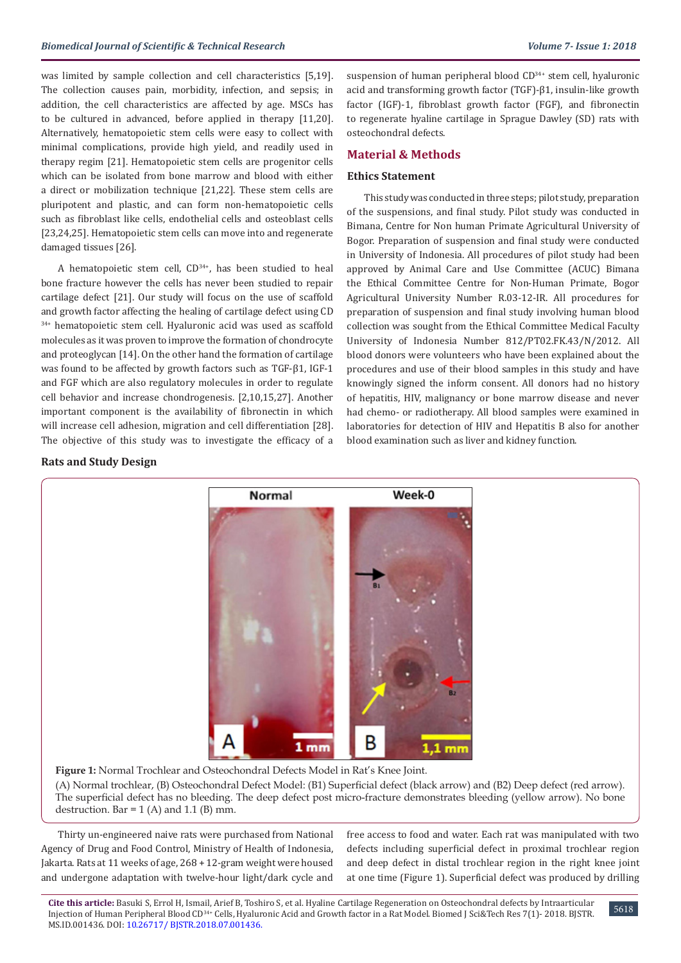was limited by sample collection and cell characteristics [5,19]. The collection causes pain, morbidity, infection, and sepsis; in addition, the cell characteristics are affected by age. MSCs has to be cultured in advanced, before applied in therapy [11,20]. Alternatively, hematopoietic stem cells were easy to collect with minimal complications, provide high yield, and readily used in therapy regim [21]. Hematopoietic stem cells are progenitor cells which can be isolated from bone marrow and blood with either a direct or mobilization technique [21,22]. These stem cells are pluripotent and plastic, and can form non-hematopoietic cells such as fibroblast like cells, endothelial cells and osteoblast cells [23,24,25]. Hematopoietic stem cells can move into and regenerate damaged tissues [26].

A hematopoietic stem cell,  $CD^{34+}$ , has been studied to heal bone fracture however the cells has never been studied to repair cartilage defect [21]. Our study will focus on the use of scaffold and growth factor affecting the healing of cartilage defect using CD 34+ hematopoietic stem cell. Hyaluronic acid was used as scaffold molecules as it was proven to improve the formation of chondrocyte and proteoglycan [14]. On the other hand the formation of cartilage was found to be affected by growth factors such as TGF-β1, IGF-1 and FGF which are also regulatory molecules in order to regulate cell behavior and increase chondrogenesis. [2,10,15,27]. Another important component is the availability of fibronectin in which will increase cell adhesion, migration and cell differentiation [28]. The objective of this study was to investigate the efficacy of a suspension of human peripheral blood CD<sup>34+</sup> stem cell, hyaluronic acid and transforming growth factor (TGF)-β1, insulin-like growth factor (IGF)-1, fibroblast growth factor (FGF), and fibronectin to regenerate hyaline cartilage in Sprague Dawley (SD) rats with osteochondral defects.

## **Material & Methods**

#### **Ethics Statement**

This study was conducted in three steps; pilot study, preparation of the suspensions, and final study. Pilot study was conducted in Bimana, Centre for Non human Primate Agricultural University of Bogor. Preparation of suspension and final study were conducted in University of Indonesia. All procedures of pilot study had been approved by Animal Care and Use Committee (ACUC) Bimana the Ethical Committee Centre for Non-Human Primate, Bogor Agricultural University Number R.03-12-IR. All procedures for preparation of suspension and final study involving human blood collection was sought from the Ethical Committee Medical Faculty University of Indonesia Number 812/PT02.FK.43/N/2012. All blood donors were volunteers who have been explained about the procedures and use of their blood samples in this study and have knowingly signed the inform consent. All donors had no history of hepatitis, HIV, malignancy or bone marrow disease and never had chemo- or radiotherapy. All blood samples were examined in laboratories for detection of HIV and Hepatitis B also for another blood examination such as liver and kidney function.

#### **Rats and Study Design**



**Figure 1:** Normal Trochlear and Osteochondral Defects Model in Rat's Knee Joint.

(A) Normal trochlear, (B) Osteochondral Defect Model: (B1) Superficial defect (black arrow) and (B2) Deep defect (red arrow). The superficial defect has no bleeding. The deep defect post micro-fracture demonstrates bleeding (yellow arrow). No bone destruction. Bar =  $1(A)$  and  $1.1(B)$  mm.

Thirty un-engineered naive rats were purchased from National Agency of Drug and Food Control, Ministry of Health of Indonesia, Jakarta. Rats at 11 weeks of age, 268 + 12-gram weight were housed and undergone adaptation with twelve-hour light/dark cycle and

free access to food and water. Each rat was manipulated with two defects including superficial defect in proximal trochlear region and deep defect in distal trochlear region in the right knee joint at one time (Figure 1). Superficial defect was produced by drilling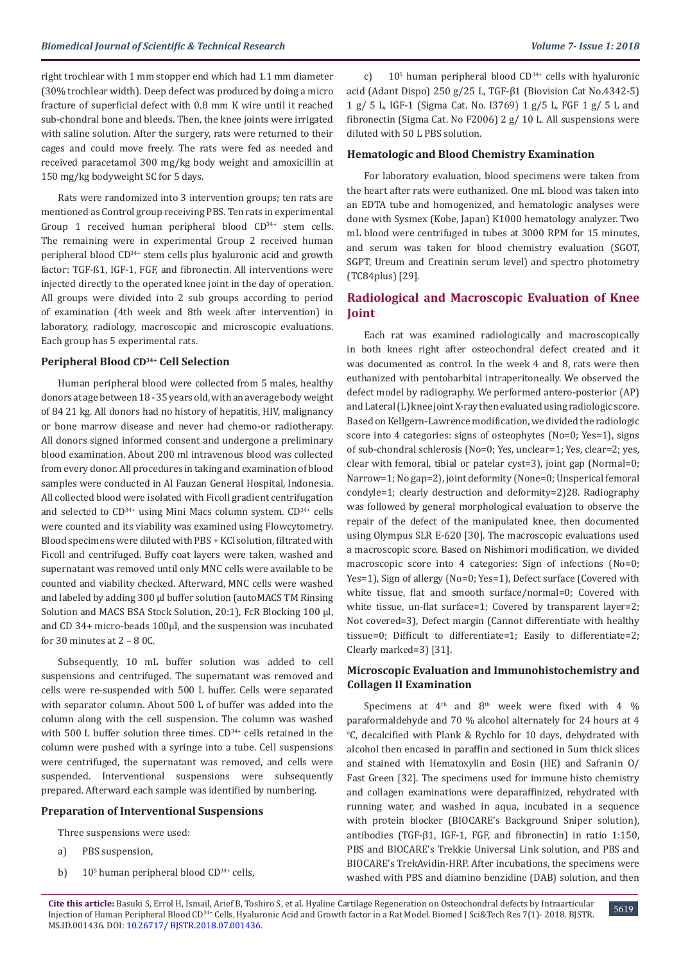right trochlear with 1 mm stopper end which had 1.1 mm diameter (30% trochlear width). Deep defect was produced by doing a micro fracture of superficial defect with 0.8 mm K wire until it reached sub-chondral bone and bleeds. Then, the knee joints were irrigated with saline solution. After the surgery, rats were returned to their cages and could move freely. The rats were fed as needed and received paracetamol 300 mg/kg body weight and amoxicillin at 150 mg/kg bodyweight SC for 5 days.

Rats were randomized into 3 intervention groups; ten rats are mentioned as Control group receiving PBS. Ten rats in experimental Group 1 received human peripheral blood  $CD<sup>34+</sup>$  stem cells. The remaining were in experimental Group 2 received human peripheral blood CD34+ stem cells plus hyaluronic acid and growth factor: TGF-ß1, IGF-1, FGF, and fibronectin. All interventions were injected directly to the operated knee joint in the day of operation. All groups were divided into 2 sub groups according to period of examination (4th week and 8th week after intervention) in laboratory, radiology, macroscopic and microscopic evaluations. Each group has 5 experimental rats.

#### **Peripheral Blood CD34+ Cell Selection**

Human peripheral blood were collected from 5 males, healthy donors at age between 18 - 35 years old, with an average body weight of 84 21 kg. All donors had no history of hepatitis, HIV, malignancy or bone marrow disease and never had chemo-or radiotherapy. All donors signed informed consent and undergone a preliminary blood examination. About 200 ml intravenous blood was collected from every donor. All procedures in taking and examination of blood samples were conducted in Al Fauzan General Hospital, Indonesia. All collected blood were isolated with Ficoll gradient centrifugation and selected to CD<sup>34+</sup> using Mini Macs column system. CD<sup>34+</sup> cells were counted and its viability was examined using Flowcytometry. Blood specimens were diluted with PBS + KCl solution, filtrated with Ficoll and centrifuged. Buffy coat layers were taken, washed and supernatant was removed until only MNC cells were available to be counted and viability checked. Afterward, MNC cells were washed and labeled by adding 300 µl buffer solution (autoMACS TM Rinsing Solution and MACS BSA Stock Solution, 20:1), FcR Blocking 100 µl, and CD 34+ micro-beads 100µl, and the suspension was incubated for 30 minutes at 2 – 8 0C.

Subsequently, 10 mL buffer solution was added to cell suspensions and centrifuged. The supernatant was removed and cells were re-suspended with 500 L buffer. Cells were separated with separator column. About 500 L of buffer was added into the column along with the cell suspension. The column was washed with 500 L buffer solution three times. CD<sup>34+</sup> cells retained in the column were pushed with a syringe into a tube. Cell suspensions were centrifuged, the supernatant was removed, and cells were suspended. Interventional suspensions were subsequently prepared. Afterward each sample was identified by numbering.

#### **Preparation of Interventional Suspensions**

Three suspensions were used:

- a) PBS suspension,
- b)  $10^5$  human peripheral blood CD<sup>34+</sup> cells,

c)  $10<sup>5</sup>$  human peripheral blood CD<sup>34+</sup> cells with hyaluronic acid (Adant Dispo) 250 g/25 L, TGF-β1 (Biovision Cat No.4342-5) 1 g/ 5 L, IGF-1 (Sigma Cat. No. I3769) 1 g/5 L, FGF 1 g/ 5 L and fibronectin (Sigma Cat. No F2006) 2 g/ 10 L. All suspensions were diluted with 50 L PBS solution.

#### **Hematologic and Blood Chemistry Examination**

For laboratory evaluation, blood specimens were taken from the heart after rats were euthanized. One mL blood was taken into an EDTA tube and homogenized, and hematologic analyses were done with Sysmex (Kobe, Japan) K1000 hematology analyzer. Two mL blood were centrifuged in tubes at 3000 RPM for 15 minutes, and serum was taken for blood chemistry evaluation (SGOT, SGPT, Ureum and Creatinin serum level) and spectro photometry (TC84plus) [29].

# **Radiological and Macroscopic Evaluation of Knee Joint**

Each rat was examined radiologically and macroscopically in both knees right after osteochondral defect created and it was documented as control. In the week 4 and 8, rats were then euthanized with pentobarbital intraperitoneally. We observed the defect model by radiography. We performed antero-posterior (AP) and Lateral (L) knee joint X-ray then evaluated using radiologic score. Based on Kellgern-Lawrence modification, we divided the radiologic score into 4 categories: signs of osteophytes (No=0; Yes=1), signs of sub-chondral schlerosis (No=0; Yes, unclear=1; Yes, clear=2; yes, clear with femoral, tibial or patelar cyst=3), joint gap (Normal=0; Narrow=1; No gap=2), joint deformity (None=0; Unsperical femoral condyle=1; clearly destruction and deformity=2)28. Radiography was followed by general morphological evaluation to observe the repair of the defect of the manipulated knee, then documented using Olympus SLR E-620 [30]. The macroscopic evaluations used a macroscopic score. Based on Nishimori modification, we divided macroscopic score into 4 categories: Sign of infections (No=0; Yes=1), Sign of allergy (No=0; Yes=1), Defect surface (Covered with white tissue, flat and smooth surface/normal=0; Covered with white tissue, un-flat surface=1; Covered by transparent layer=2; Not covered=3), Defect margin (Cannot differentiate with healthy tissue=0; Difficult to differentiate=1; Easily to differentiate=2; Clearly marked=3) [31].

# **Microscopic Evaluation and Immunohistochemistry and Collagen II Examination**

Specimens at  $4<sup>th</sup>$  and  $8<sup>th</sup>$  week were fixed with 4 % paraformaldehyde and 70 % alcohol alternately for 24 hours at 4  $\degree$ C, decalcified with Plank & Rychlo for 10 days, dehydrated with alcohol then encased in paraffin and sectioned in 5um thick slices and stained with Hematoxylin and Eosin (HE) and Safranin O/ Fast Green [32]. The specimens used for immune histo chemistry and collagen examinations were deparaffinized, rehydrated with running water, and washed in aqua, incubated in a sequence with protein blocker (BIOCARE's Background Sniper solution), antibodies (TGF-β1, IGF-1, FGF, and fibronectin) in ratio 1:150, PBS and BIOCARE's Trekkie Universal Link solution, and PBS and BIOCARE's TrekAvidin-HRP. After incubations, the specimens were washed with PBS and diamino benzidine (DAB) solution, and then

5619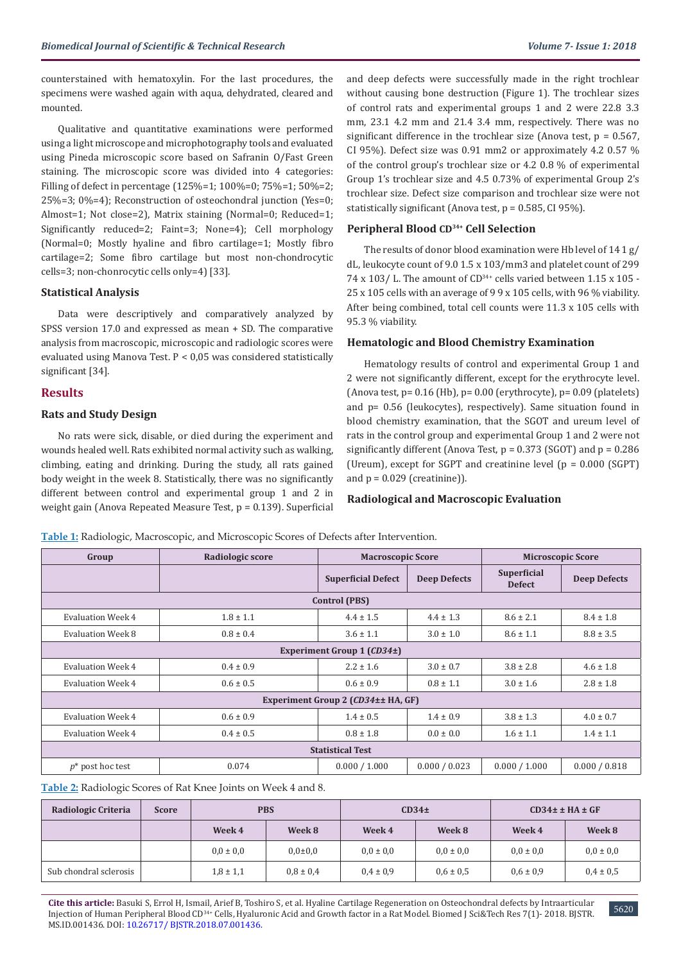counterstained with hematoxylin. For the last procedures, the specimens were washed again with aqua, dehydrated, cleared and mounted.

Qualitative and quantitative examinations were performed using a light microscope and microphotography tools and evaluated using Pineda microscopic score based on Safranin O/Fast Green staining. The microscopic score was divided into 4 categories: Filling of defect in percentage (125%=1; 100%=0; 75%=1; 50%=2; 25%=3; 0%=4); Reconstruction of osteochondral junction (Yes=0; Almost=1; Not close=2), Matrix staining (Normal=0; Reduced=1; Significantly reduced=2; Faint=3; None=4); Cell morphology (Normal=0; Mostly hyaline and fibro cartilage=1; Mostly fibro cartilage=2; Some fibro cartilage but most non-chondrocytic cells=3; non-chonrocytic cells only=4) [33].

## **Statistical Analysis**

Data were descriptively and comparatively analyzed by SPSS version 17.0 and expressed as mean + SD. The comparative analysis from macroscopic, microscopic and radiologic scores were evaluated using Manova Test. P < 0,05 was considered statistically significant [34].

## **Results**

## **Rats and Study Design**

No rats were sick, disable, or died during the experiment and wounds healed well. Rats exhibited normal activity such as walking, climbing, eating and drinking. During the study, all rats gained body weight in the week 8. Statistically, there was no significantly different between control and experimental group 1 and 2 in weight gain (Anova Repeated Measure Test, p = 0.139). Superficial and deep defects were successfully made in the right trochlear without causing bone destruction (Figure 1). The trochlear sizes of control rats and experimental groups 1 and 2 were 22.8 3.3 mm, 23.1 4.2 mm and 21.4 3.4 mm, respectively. There was no significant difference in the trochlear size (Anova test,  $p = 0.567$ , CI 95%). Defect size was 0.91 mm2 or approximately 4.2 0.57 % of the control group's trochlear size or 4.2 0.8 % of experimental Group 1's trochlear size and 4.5 0.73% of experimental Group 2's trochlear size. Defect size comparison and trochlear size were not statistically significant (Anova test,  $p = 0.585$ , CI 95%).

#### **Peripheral Blood CD34+ Cell Selection**

The results of donor blood examination were Hb level of 14 1 g/ dL, leukocyte count of 9.0 1.5 x 103/mm3 and platelet count of 299 74 x 103/ L. The amount of  $CD^{34+}$  cells varied between 1.15 x 105 -25 x 105 cells with an average of 9 9 x 105 cells, with 96 % viability. After being combined, total cell counts were 11.3 x 105 cells with 95.3 % viability.

#### **Hematologic and Blood Chemistry Examination**

Hematology results of control and experimental Group 1 and 2 were not significantly different, except for the erythrocyte level. (Anova test,  $p = 0.16$  (Hb),  $p = 0.00$  (erythrocyte),  $p = 0.09$  (platelets) and p= 0.56 (leukocytes), respectively). Same situation found in blood chemistry examination, that the SGOT and ureum level of rats in the control group and experimental Group 1 and 2 were not significantly different (Anova Test,  $p = 0.373$  (SGOT) and  $p = 0.286$ (Ureum), except for SGPT and creatinine level (p = 0.000 (SGPT) and  $p = 0.029$  (creatinine)).

#### **Radiological and Macroscopic Evaluation**

**Table 1:** Radiologic, Macroscopic, and Microscopic Scores of Defects after Intervention.

| Group                              | Radiologic score | <b>Macroscopic Score</b>  |                     | <b>Microscopic Score</b>            |                     |  |  |  |
|------------------------------------|------------------|---------------------------|---------------------|-------------------------------------|---------------------|--|--|--|
|                                    |                  | <b>Superficial Defect</b> | <b>Deep Defects</b> | <b>Superficial</b><br><b>Defect</b> | <b>Deep Defects</b> |  |  |  |
| <b>Control (PBS)</b>               |                  |                           |                     |                                     |                     |  |  |  |
| <b>Evaluation Week 4</b>           | $1.8 \pm 1.1$    | $4.4 \pm 1.5$             | $4.4 \pm 1.3$       | $8.6 \pm 2.1$                       | $8.4 \pm 1.8$       |  |  |  |
| Evaluation Week 8                  | $0.8 \pm 0.4$    | $3.6 \pm 1.1$             | $3.0 \pm 1.0$       | $8.6 \pm 1.1$                       | $8.8 \pm 3.5$       |  |  |  |
| Experiment Group 1 (CD34±)         |                  |                           |                     |                                     |                     |  |  |  |
| Evaluation Week 4                  | $0.4 \pm 0.9$    | $2.2 \pm 1.6$             | $3.0 \pm 0.7$       | $3.8 \pm 2.8$                       | $4.6 \pm 1.8$       |  |  |  |
| <b>Evaluation Week 4</b>           | $0.6 \pm 0.5$    | $0.6 \pm 0.9$             | $0.8 \pm 1.1$       | $3.0 \pm 1.6$                       | $2.8 \pm 1.8$       |  |  |  |
| Experiment Group 2 (CD34±± HA, GF) |                  |                           |                     |                                     |                     |  |  |  |
| <b>Evaluation Week 4</b>           | $0.6 \pm 0.9$    | $1.4 \pm 0.5$             | $1.4 \pm 0.9$       | $3.8 \pm 1.3$                       | $4.0 \pm 0.7$       |  |  |  |
| Evaluation Week 4                  | $0.4 \pm 0.5$    | $0.8 \pm 1.8$             | $0.0 \pm 0.0$       | $1.6 \pm 1.1$                       | $1.4 \pm 1.1$       |  |  |  |
| <b>Statistical Test</b>            |                  |                           |                     |                                     |                     |  |  |  |
| $p^*$ post hoc test                | 0.074            | 0.000 / 1.000             | 0.000 / 0.023       | 0.000 / 1.000                       | 0.000 / 0.818       |  |  |  |

**Table 2:** Radiologic Scores of Rat Knee Joints on Week 4 and 8.

| Radiologic Criteria    | <b>Score</b> | <b>PBS</b>    |               | CD34 <sub>±</sub> |               | $CD34 \pm HA \pm GF$ |               |
|------------------------|--------------|---------------|---------------|-------------------|---------------|----------------------|---------------|
|                        |              | Week 4        | Week 8        | Week 4            | Week 8        | Week 4               | Week 8        |
|                        |              | $0.0 \pm 0.0$ | $0.0{\pm}0.0$ | $0.0 \pm 0.0$     | $0.0 \pm 0.0$ | $0.0 \pm 0.0$        | $0.0 \pm 0.0$ |
| Sub chondral sclerosis |              | $1,8 \pm 1,1$ | $0.8 \pm 0.4$ | $0.4 \pm 0.9$     | $0.6 \pm 0.5$ | $0.6 \pm 0.9$        | $0.4 \pm 0.5$ |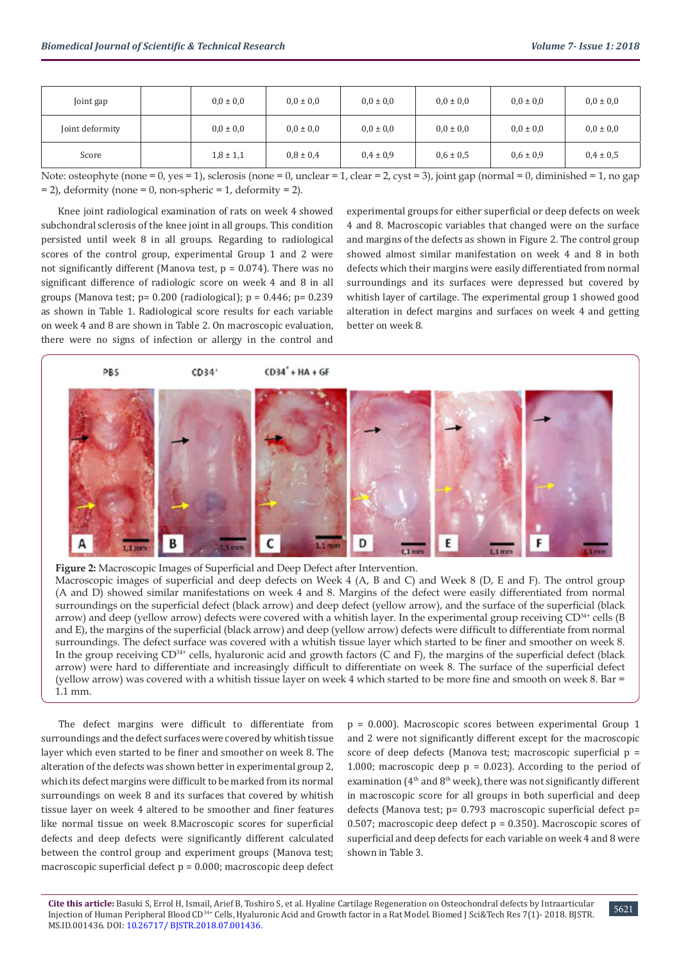| Joint gap       | $0.0 \pm 0.0$ | $0.0 \pm 0.0$ | $0,0 \pm 0,0$ | $0.0 \pm 0.0$ | $0.0 \pm 0.0$ | $0,0 \pm 0,0$ |
|-----------------|---------------|---------------|---------------|---------------|---------------|---------------|
| Joint deformity | $0.0 \pm 0.0$ | $0.0 \pm 0.0$ | $0.0 \pm 0.0$ | $0.0 \pm 0.0$ | $0.0 \pm 0.0$ | $0,0 \pm 0,0$ |
| Score           | $1,8 \pm 1,1$ | $0.8 \pm 0.4$ | $0.4 \pm 0.9$ | $0,6 \pm 0,5$ | $0.6 \pm 0.9$ | $0.4 \pm 0.5$ |

Note: osteophyte (none = 0, yes = 1), sclerosis (none = 0, unclear = 1, clear = 2, cyst = 3), joint gap (normal = 0, diminished = 1, no gap  $= 2$ ), deformity (none  $= 0$ , non-spheric  $= 1$ , deformity  $= 2$ ).

Knee joint radiological examination of rats on week 4 showed subchondral sclerosis of the knee joint in all groups. This condition persisted until week 8 in all groups. Regarding to radiological scores of the control group, experimental Group 1 and 2 were not significantly different (Manova test,  $p = 0.074$ ). There was no significant difference of radiologic score on week 4 and 8 in all groups (Manova test;  $p= 0.200$  (radiological);  $p = 0.446$ ;  $p= 0.239$ as shown in Table 1. Radiological score results for each variable on week 4 and 8 are shown in Table 2. On macroscopic evaluation, there were no signs of infection or allergy in the control and

experimental groups for either superficial or deep defects on week 4 and 8. Macroscopic variables that changed were on the surface and margins of the defects as shown in Figure 2. The control group showed almost similar manifestation on week 4 and 8 in both defects which their margins were easily differentiated from normal surroundings and its surfaces were depressed but covered by whitish layer of cartilage. The experimental group 1 showed good alteration in defect margins and surfaces on week 4 and getting better on week 8.



**Figure 2:** Macroscopic Images of Superficial and Deep Defect after Intervention. Macroscopic images of superficial and deep defects on Week 4 (A, B and C) and Week 8 (D, E and F). The ontrol group (A and D) showed similar manifestations on week 4 and 8. Margins of the defect were easily differentiated from normal surroundings on the superficial defect (black arrow) and deep defect (yellow arrow), and the surface of the superficial (black arrow) and deep (yellow arrow) defects were covered with a whitish layer. In the experimental group receiving CD<sup>34+</sup> cells (B and E), the margins of the superficial (black arrow) and deep (yellow arrow) defects were difficult to differentiate from normal surroundings. The defect surface was covered with a whitish tissue layer which started to be finer and smoother on week 8. In the group receiving CD<sup>34+</sup> cells, hyaluronic acid and growth factors (C and F), the margins of the superficial defect (black arrow) were hard to differentiate and increasingly difficult to differentiate on week 8. The surface of the superficial defect (yellow arrow) was covered with a whitish tissue layer on week 4 which started to be more fine and smooth on week 8. Bar = 1.1 mm.

The defect margins were difficult to differentiate from surroundings and the defect surfaces were covered by whitish tissue layer which even started to be finer and smoother on week 8. The alteration of the defects was shown better in experimental group 2, which its defect margins were difficult to be marked from its normal surroundings on week 8 and its surfaces that covered by whitish tissue layer on week 4 altered to be smoother and finer features like normal tissue on week 8.Macroscopic scores for superficial defects and deep defects were significantly different calculated between the control group and experiment groups (Manova test; macroscopic superficial defect p = 0.000; macroscopic deep defect

p = 0.000). Macroscopic scores between experimental Group 1 and 2 were not significantly different except for the macroscopic score of deep defects (Manova test; macroscopic superficial  $p =$ 1.000; macroscopic deep  $p = 0.023$ ). According to the period of examination ( $4<sup>th</sup>$  and  $8<sup>th</sup>$  week), there was not significantly different in macroscopic score for all groups in both superficial and deep defects (Manova test; p= 0.793 macroscopic superficial defect p= 0.507; macroscopic deep defect  $p = 0.350$ ). Macroscopic scores of superficial and deep defects for each variable on week 4 and 8 were shown in Table 3.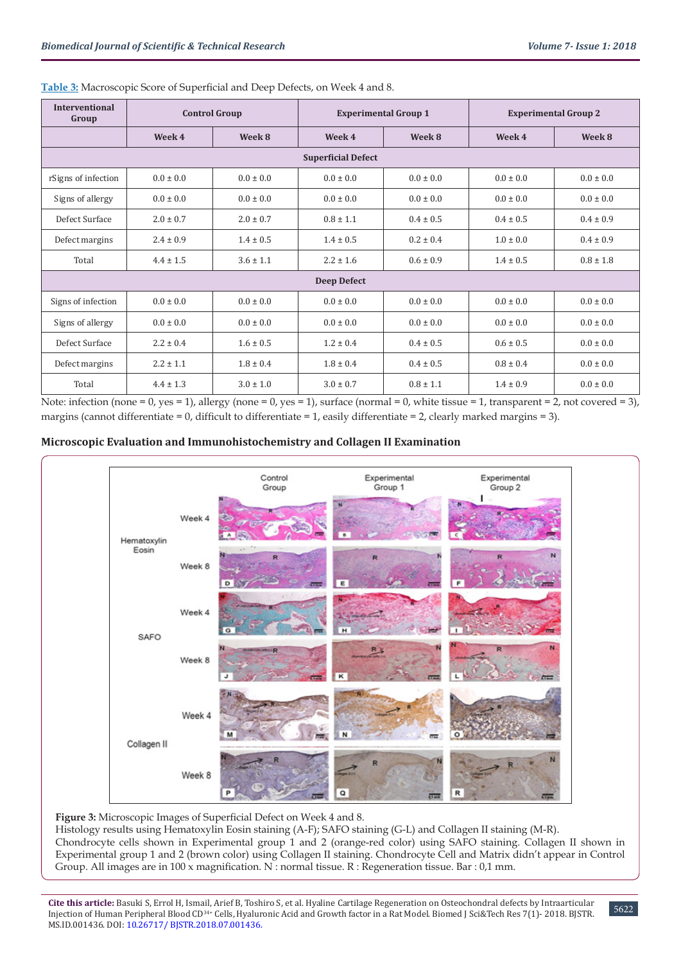| <b>Interventional</b><br>Group | <b>Control Group</b> |               | <b>Experimental Group 1</b> |               | <b>Experimental Group 2</b> |               |  |
|--------------------------------|----------------------|---------------|-----------------------------|---------------|-----------------------------|---------------|--|
|                                | Week 4               | Week 8        | Week 4<br>Week 8            |               | Week 4                      | Week 8        |  |
| <b>Superficial Defect</b>      |                      |               |                             |               |                             |               |  |
| rSigns of infection            | $0.0 \pm 0.0$        | $0.0 \pm 0.0$ | $0.0 \pm 0.0$               | $0.0 \pm 0.0$ | $0.0 \pm 0.0$               | $0.0 \pm 0.0$ |  |
| Signs of allergy               | $0.0 \pm 0.0$        | $0.0 \pm 0.0$ | $0.0 \pm 0.0$               | $0.0 \pm 0.0$ | $0.0 \pm 0.0$               | $0.0 \pm 0.0$ |  |
| Defect Surface                 | $2.0 \pm 0.7$        | $2.0 \pm 0.7$ | $0.8 \pm 1.1$               | $0.4 \pm 0.5$ | $0.4 \pm 0.5$               | $0.4 \pm 0.9$ |  |
| Defect margins                 | $2.4 \pm 0.9$        | $1.4 \pm 0.5$ | $1.4 \pm 0.5$               | $0.2 \pm 0.4$ | $1.0 \pm 0.0$               | $0.4 \pm 0.9$ |  |
| Total                          | $4.4 \pm 1.5$        | $3.6 \pm 1.1$ | $2.2 \pm 1.6$               | $0.6 \pm 0.9$ | $1.4 \pm 0.5$               | $0.8 \pm 1.8$ |  |
| <b>Deep Defect</b>             |                      |               |                             |               |                             |               |  |
| Signs of infection             | $0.0 \pm 0.0$        | $0.0 \pm 0.0$ | $0.0 \pm 0.0$               | $0.0 \pm 0.0$ | $0.0 \pm 0.0$               | $0.0 \pm 0.0$ |  |
| Signs of allergy               | $0.0 \pm 0.0$        | $0.0 \pm 0.0$ | $0.0 \pm 0.0$               | $0.0 \pm 0.0$ | $0.0 \pm 0.0$               | $0.0 \pm 0.0$ |  |
| Defect Surface                 | $2.2 \pm 0.4$        | $1.6 \pm 0.5$ | $1.2 \pm 0.4$               | $0.4 \pm 0.5$ | $0.6 \pm 0.5$               | $0.0 \pm 0.0$ |  |
| Defect margins                 | $2.2 \pm 1.1$        | $1.8 \pm 0.4$ | $1.8 \pm 0.4$               | $0.4 \pm 0.5$ | $0.8 \pm 0.4$               | $0.0 \pm 0.0$ |  |
| Total                          | $4.4 \pm 1.3$        | $3.0 \pm 1.0$ | $3.0 \pm 0.7$               | $0.8 \pm 1.1$ | $1.4 \pm 0.9$               | $0.0 \pm 0.0$ |  |

## **Table 3:** Macroscopic Score of Superficial and Deep Defects, on Week 4 and 8.

Note: infection (none = 0, yes = 1), allergy (none = 0, yes = 1), surface (normal = 0, white tissue = 1, transparent = 2, not covered = 3), margins (cannot differentiate = 0, difficult to differentiate = 1, easily differentiate = 2, clearly marked margins = 3).

## **Microscopic Evaluation and Immunohistochemistry and Collagen II Examination**



**Figure 3:** Microscopic Images of Superficial Defect on Week 4 and 8.

Histology results using Hematoxylin Eosin staining (A-F); SAFO staining (G-L) and Collagen II staining (M-R). Chondrocyte cells shown in Experimental group 1 and 2 (orange-red color) using SAFO staining. Collagen II shown in Experimental group 1 and 2 (brown color) using Collagen II staining. Chondrocyte Cell and Matrix didn't appear in Control Group. All images are in 100 x magnification. N : normal tissue. R : Regeneration tissue. Bar : 0,1 mm.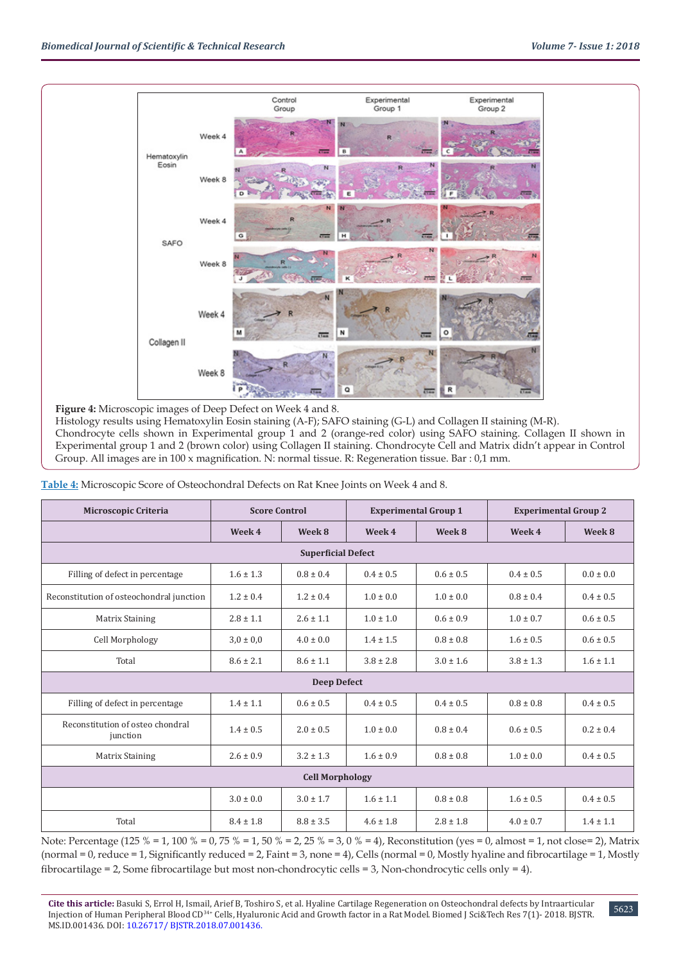

**Figure 4:** Microscopic images of Deep Defect on Week 4 and 8.

Histology results using Hematoxylin Eosin staining (A-F); SAFO staining (G-L) and Collagen II staining (M-R). Chondrocyte cells shown in Experimental group 1 and 2 (orange-red color) using SAFO staining. Collagen II shown in Experimental group 1 and 2 (brown color) using Collagen II staining. Chondrocyte Cell and Matrix didn't appear in Control Group. All images are in 100 x magnification. N: normal tissue. R: Regeneration tissue. Bar : 0,1 mm.

**Table 4:** Microscopic Score of Osteochondral Defects on Rat Knee Joints on Week 4 and 8.

| <b>Microscopic Criteria</b>                  | <b>Score Control</b> |               | <b>Experimental Group 1</b> |               | <b>Experimental Group 2</b> |               |  |
|----------------------------------------------|----------------------|---------------|-----------------------------|---------------|-----------------------------|---------------|--|
|                                              | Week 4               | Week 8        | Week 4                      | Week 8        | Week 4                      | Week 8        |  |
| <b>Superficial Defect</b>                    |                      |               |                             |               |                             |               |  |
| Filling of defect in percentage              | $1.6 \pm 1.3$        | $0.8 \pm 0.4$ | $0.4 \pm 0.5$               | $0.6 \pm 0.5$ | $0.4 \pm 0.5$               | $0.0 \pm 0.0$ |  |
| Reconstitution of osteochondral junction     | $1.2 \pm 0.4$        | $1.2 \pm 0.4$ | $1.0 \pm 0.0$               | $1.0 \pm 0.0$ | $0.8 \pm 0.4$               | $0.4 \pm 0.5$ |  |
| <b>Matrix Staining</b>                       | $2.8 \pm 1.1$        | $2.6 \pm 1.1$ | $1.0 \pm 1.0$               | $0.6 \pm 0.9$ | $1.0 \pm 0.7$               | $0.6 \pm 0.5$ |  |
| Cell Morphology                              | $3.0 \pm 0.0$        | $4.0 \pm 0.0$ | $1.4 \pm 1.5$               | $0.8 \pm 0.8$ | $1.6 \pm 0.5$               | $0.6 \pm 0.5$ |  |
| Total                                        | $8.6 \pm 2.1$        | $8.6 \pm 1.1$ | $3.8 \pm 2.8$               | $3.0 \pm 1.6$ | $3.8 \pm 1.3$               | $1.6 \pm 1.1$ |  |
| <b>Deep Defect</b>                           |                      |               |                             |               |                             |               |  |
| Filling of defect in percentage              | $1.4 \pm 1.1$        | $0.6 \pm 0.5$ | $0.4 \pm 0.5$               | $0.4 \pm 0.5$ | $0.8 \pm 0.8$               | $0.4 \pm 0.5$ |  |
| Reconstitution of osteo chondral<br>junction | $1.4 \pm 0.5$        | $2.0 \pm 0.5$ | $1.0 \pm 0.0$               | $0.8 \pm 0.4$ | $0.6 \pm 0.5$               | $0.2 \pm 0.4$ |  |
| <b>Matrix Staining</b>                       | $2.6 \pm 0.9$        | $3.2 \pm 1.3$ | $1.6 \pm 0.9$               | $0.8 \pm 0.8$ | $1.0 \pm 0.0$               | $0.4 \pm 0.5$ |  |
| <b>Cell Morphology</b>                       |                      |               |                             |               |                             |               |  |
|                                              | $3.0 \pm 0.0$        | $3.0 \pm 1.7$ | $1.6 \pm 1.1$               | $0.8 \pm 0.8$ | $1.6 \pm 0.5$               | $0.4 \pm 0.5$ |  |
| Total                                        | $8.4 \pm 1.8$        | $8.8 \pm 3.5$ | $4.6 \pm 1.8$               | $2.8 \pm 1.8$ | $4.0 \pm 0.7$               | $1.4 \pm 1.1$ |  |

Note: Percentage (125 % = 1, 100 % = 0, 75 % = 1, 50 % = 2, 25 % = 3, 0 % = 4), Reconstitution (yes = 0, almost = 1, not close= 2), Matrix (normal = 0, reduce = 1, Significantly reduced = 2, Faint = 3, none = 4), Cells (normal = 0, Mostly hyaline and fibrocartilage = 1, Mostly fibrocartilage = 2, Some fibrocartilage but most non-chondrocytic cells = 3, Non-chondrocytic cells only = 4).

5623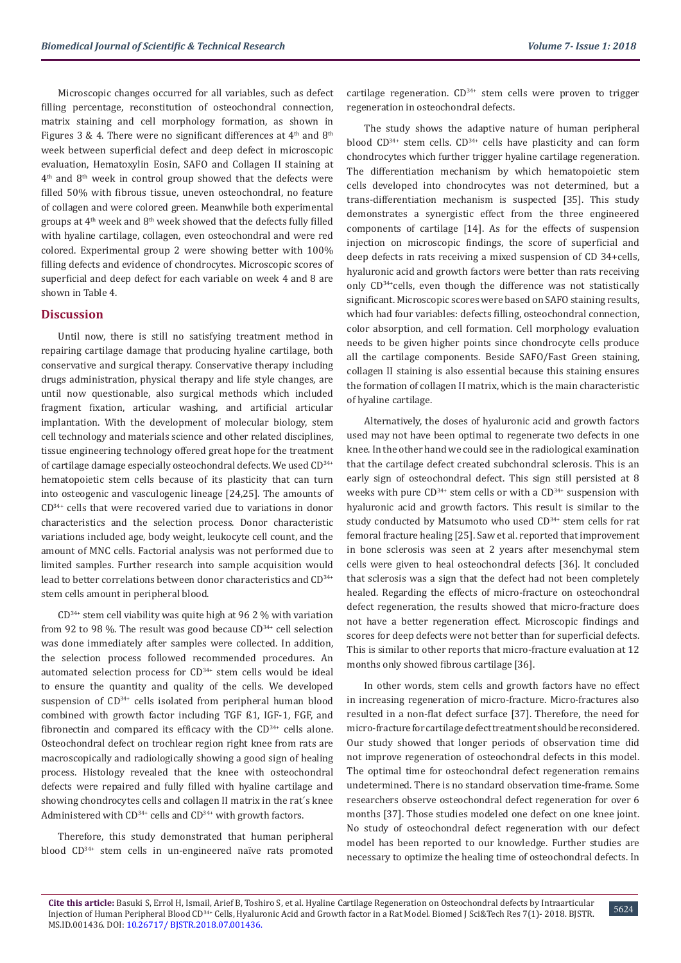Microscopic changes occurred for all variables, such as defect filling percentage, reconstitution of osteochondral connection, matrix staining and cell morphology formation, as shown in Figures 3 & 4. There were no significant differences at  $4<sup>th</sup>$  and  $8<sup>th</sup>$ week between superficial defect and deep defect in microscopic evaluation, Hematoxylin Eosin, SAFO and Collagen II staining at  $4<sup>th</sup>$  and  $8<sup>th</sup>$  week in control group showed that the defects were filled 50% with fibrous tissue, uneven osteochondral, no feature of collagen and were colored green. Meanwhile both experimental groups at  $4<sup>th</sup>$  week and  $8<sup>th</sup>$  week showed that the defects fully filled with hyaline cartilage, collagen, even osteochondral and were red colored. Experimental group 2 were showing better with 100% filling defects and evidence of chondrocytes. Microscopic scores of superficial and deep defect for each variable on week 4 and 8 are shown in Table 4.

## **Discussion**

Until now, there is still no satisfying treatment method in repairing cartilage damage that producing hyaline cartilage, both conservative and surgical therapy. Conservative therapy including drugs administration, physical therapy and life style changes, are until now questionable, also surgical methods which included fragment fixation, articular washing, and artificial articular implantation. With the development of molecular biology, stem cell technology and materials science and other related disciplines, tissue engineering technology offered great hope for the treatment of cartilage damage especially osteochondral defects. We used CD<sup>34+</sup> hematopoietic stem cells because of its plasticity that can turn into osteogenic and vasculogenic lineage [24,25]. The amounts of CD34+ cells that were recovered varied due to variations in donor characteristics and the selection process. Donor characteristic variations included age, body weight, leukocyte cell count, and the amount of MNC cells. Factorial analysis was not performed due to limited samples. Further research into sample acquisition would lead to better correlations between donor characteristics and CD<sup>34+</sup> stem cells amount in peripheral blood.

 $CD^{34+}$  stem cell viability was quite high at 96 2 % with variation from 92 to 98 %. The result was good because  $CD^{34+}$  cell selection was done immediately after samples were collected. In addition, the selection process followed recommended procedures. An automated selection process for  $CD<sup>34+</sup>$  stem cells would be ideal to ensure the quantity and quality of the cells. We developed suspension of CD34+ cells isolated from peripheral human blood combined with growth factor including TGF ß1, IGF-1, FGF, and fibronectin and compared its efficacy with the  $CD<sup>34+</sup>$  cells alone. Osteochondral defect on trochlear region right knee from rats are macroscopically and radiologically showing a good sign of healing process. Histology revealed that the knee with osteochondral defects were repaired and fully filled with hyaline cartilage and showing chondrocytes cells and collagen II matrix in the rat´s knee Administered with  $CD^{34+}$  cells and  $CD^{34+}$  with growth factors.

Therefore, this study demonstrated that human peripheral blood CD34+ stem cells in un-engineered naïve rats promoted cartilage regeneration.  $CD^{34+}$  stem cells were proven to trigger regeneration in osteochondral defects.

The study shows the adaptive nature of human peripheral blood CD<sup>34+</sup> stem cells. CD<sup>34+</sup> cells have plasticity and can form chondrocytes which further trigger hyaline cartilage regeneration. The differentiation mechanism by which hematopoietic stem cells developed into chondrocytes was not determined, but a trans-differentiation mechanism is suspected [35]. This study demonstrates a synergistic effect from the three engineered components of cartilage [14]. As for the effects of suspension injection on microscopic findings, the score of superficial and deep defects in rats receiving a mixed suspension of CD 34+cells, hyaluronic acid and growth factors were better than rats receiving only CD34+cells, even though the difference was not statistically significant. Microscopic scores were based on SAFO staining results, which had four variables: defects filling, osteochondral connection, color absorption, and cell formation. Cell morphology evaluation needs to be given higher points since chondrocyte cells produce all the cartilage components. Beside SAFO/Fast Green staining, collagen II staining is also essential because this staining ensures the formation of collagen II matrix, which is the main characteristic of hyaline cartilage.

Alternatively, the doses of hyaluronic acid and growth factors used may not have been optimal to regenerate two defects in one knee. In the other hand we could see in the radiological examination that the cartilage defect created subchondral sclerosis. This is an early sign of osteochondral defect. This sign still persisted at 8 weeks with pure  $CD^{34+}$  stem cells or with a  $CD^{34+}$  suspension with hyaluronic acid and growth factors. This result is similar to the study conducted by Matsumoto who used CD<sup>34+</sup> stem cells for rat femoral fracture healing [25]. Saw et al. reported that improvement in bone sclerosis was seen at 2 years after mesenchymal stem cells were given to heal osteochondral defects [36]. It concluded that sclerosis was a sign that the defect had not been completely healed. Regarding the effects of micro-fracture on osteochondral defect regeneration, the results showed that micro-fracture does not have a better regeneration effect. Microscopic findings and scores for deep defects were not better than for superficial defects. This is similar to other reports that micro-fracture evaluation at 12 months only showed fibrous cartilage [36].

In other words, stem cells and growth factors have no effect in increasing regeneration of micro-fracture. Micro-fractures also resulted in a non-flat defect surface [37]. Therefore, the need for micro-fracture for cartilage defect treatment should be reconsidered. Our study showed that longer periods of observation time did not improve regeneration of osteochondral defects in this model. The optimal time for osteochondral defect regeneration remains undetermined. There is no standard observation time-frame. Some researchers observe osteochondral defect regeneration for over 6 months [37]. Those studies modeled one defect on one knee joint. No study of osteochondral defect regeneration with our defect model has been reported to our knowledge. Further studies are necessary to optimize the healing time of osteochondral defects. In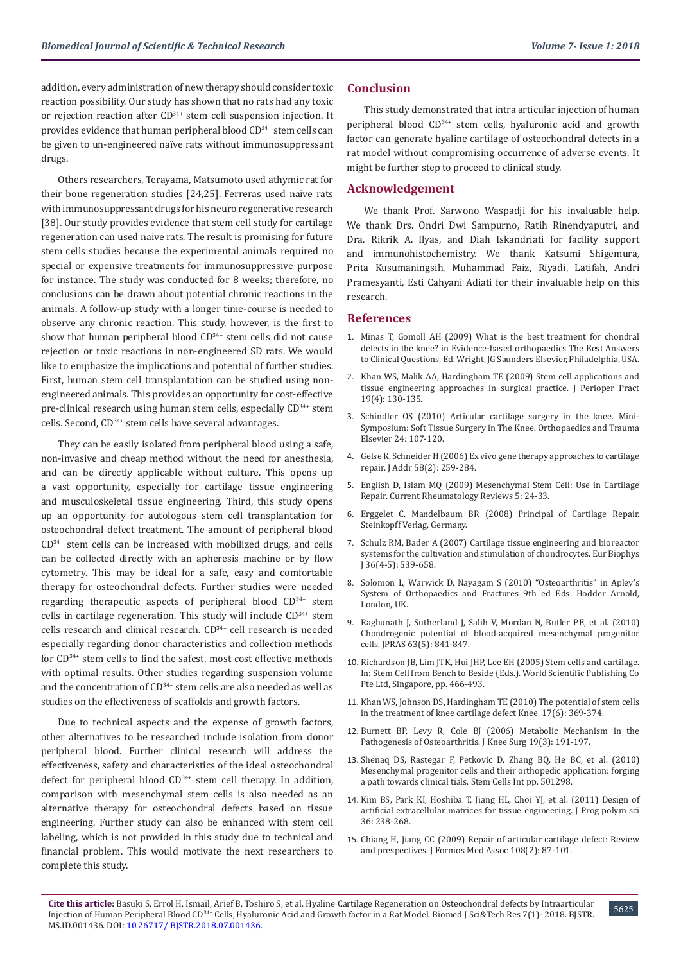addition, every administration of new therapy should consider toxic reaction possibility. Our study has shown that no rats had any toxic or rejection reaction after CD<sup>34+</sup> stem cell suspension injection. It provides evidence that human peripheral blood CD<sup>34+</sup> stem cells can be given to un-engineered naïve rats without immunosuppressant drugs.

Others researchers, Terayama, Matsumoto used athymic rat for their bone regeneration studies [24,25]. Ferreras used naive rats with immunosuppressant drugs for his neuro regenerative research [38]. Our study provides evidence that stem cell study for cartilage regeneration can used naive rats. The result is promising for future stem cells studies because the experimental animals required no special or expensive treatments for immunosuppressive purpose for instance. The study was conducted for 8 weeks; therefore, no conclusions can be drawn about potential chronic reactions in the animals. A follow-up study with a longer time-course is needed to observe any chronic reaction. This study, however, is the first to show that human peripheral blood  $CD^{34+}$  stem cells did not cause rejection or toxic reactions in non-engineered SD rats. We would like to emphasize the implications and potential of further studies. First, human stem cell transplantation can be studied using nonengineered animals. This provides an opportunity for cost-effective pre-clinical research using human stem cells, especially CD34+ stem cells. Second, CD34+ stem cells have several advantages.

They can be easily isolated from peripheral blood using a safe, non-invasive and cheap method without the need for anesthesia, and can be directly applicable without culture. This opens up a vast opportunity, especially for cartilage tissue engineering and musculoskeletal tissue engineering. Third, this study opens up an opportunity for autologous stem cell transplantation for osteochondral defect treatment. The amount of peripheral blood CD34+ stem cells can be increased with mobilized drugs, and cells can be collected directly with an apheresis machine or by flow cytometry. This may be ideal for a safe, easy and comfortable therapy for osteochondral defects. Further studies were needed regarding therapeutic aspects of peripheral blood CD34+ stem cells in cartilage regeneration. This study will include  $CD<sup>34+</sup>$  stem cells research and clinical research. CD<sup>34+</sup> cell research is needed especially regarding donor characteristics and collection methods for CD34+ stem cells to find the safest, most cost effective methods with optimal results. Other studies regarding suspension volume and the concentration of CD<sup>34+</sup> stem cells are also needed as well as studies on the effectiveness of scaffolds and growth factors.

Due to technical aspects and the expense of growth factors, other alternatives to be researched include isolation from donor peripheral blood. Further clinical research will address the effectiveness, safety and characteristics of the ideal osteochondral defect for peripheral blood  $CD^{34+}$  stem cell therapy. In addition, comparison with mesenchymal stem cells is also needed as an alternative therapy for osteochondral defects based on tissue engineering. Further study can also be enhanced with stem cell labeling, which is not provided in this study due to technical and financial problem. This would motivate the next researchers to complete this study.

## **Conclusion**

This study demonstrated that intra articular injection of human peripheral blood CD34+ stem cells, hyaluronic acid and growth factor can generate hyaline cartilage of osteochondral defects in a rat model without compromising occurrence of adverse events. It might be further step to proceed to clinical study.

## **Acknowledgement**

We thank Prof. Sarwono Waspadji for his invaluable help. We thank Drs. Ondri Dwi Sampurno, Ratih Rinendyaputri, and Dra. Rikrik A. Ilyas, and Diah Iskandriati for facility support and immunohistochemistry. We thank Katsumi Shigemura, Prita Kusumaningsih, Muhammad Faiz, Riyadi, Latifah, Andri Pramesyanti, Esti Cahyani Adiati for their invaluable help on this research.

#### **References**

- 1. Minas T, Gomoll AH (2009) What is the best treatment for chondral defects in the knee? in Evidence-based orthopaedics The Best Answers to Clinical Questions, Ed. Wright, JG Saunders Elsevier, Philadelphia, USA.
- 2. [Khan WS, Malik AA, Hardingham TE \(2009\) Stem cell applications and](https://www.ncbi.nlm.nih.gov/pubmed/19472685) [tissue engineering approaches in surgical practice. J Perioper Pract](https://www.ncbi.nlm.nih.gov/pubmed/19472685) [19\(4\): 130-135.](https://www.ncbi.nlm.nih.gov/pubmed/19472685)
- 3. Schindler OS (2010) Articular cartilage surgery in the knee. Mini-Symposium: Soft Tissue Surgery in The Knee. Orthopaedics and Trauma Elsevier 24: 107-120.
- 4. [Gelse K, Schneider H \(2006\) Ex vivo gene therapy approaches to cartilage](https://www.ncbi.nlm.nih.gov/pubmed/16574266) [repair. J Addr 58\(2\): 259-284.](https://www.ncbi.nlm.nih.gov/pubmed/16574266)
- 5. [English D, Islam MQ \(2009\) Mesenchymal Stem Cell: Use in Cartilage](https://www.ingentaconnect.com/content/ben/crr/2009/00000005/00000001/art00005) [Repair. Current Rheumatology Reviews 5: 24-33.](https://www.ingentaconnect.com/content/ben/crr/2009/00000005/00000001/art00005)
- 6. [Erggelet C, Mandelbaum BR \(2008\) Principal of Cartilage Repair.](https://www.springer.com/us/book/9783798515901) [Steinkopff Verlag, Germany.](https://www.springer.com/us/book/9783798515901)
- 7. [Schulz RM, Bader A \(2007\) Cartilage tissue engineering and bioreactor](https://www.ncbi.nlm.nih.gov/pubmed/17318529) [systems for the cultivation and stimulation of chondrocytes. Eur Biophys](https://www.ncbi.nlm.nih.gov/pubmed/17318529) [J 36\(4-5\): 539-658.](https://www.ncbi.nlm.nih.gov/pubmed/17318529)
- 8. Solomon L, Warwick D, Nayagam S (2010) "Osteoarthritis" in Apley's System of Orthopaedics and Fractures 9th ed Eds. Hodder Arnold, London, UK.
- 9. [Raghunath J, Sutherland J, Salih V, Mordan N, Butler PE, et al. \(2010\)](https://www.ncbi.nlm.nih.gov/pubmed/19345657) [Chondrogenic potential of blood-acquired mesenchymal progenitor](https://www.ncbi.nlm.nih.gov/pubmed/19345657) [cells. JPRAS 63\(5\): 841-847.](https://www.ncbi.nlm.nih.gov/pubmed/19345657)
- 10. Richardson JB, Lim JTK, Hui JHP, Lee EH (2005) Stem cells and cartilage. In: Stem Cell from Bench to Beside (Eds.). World Scientific Publishing Co Pte Ltd, Singapore, pp. 466-493.
- 11. [Khan WS, Johnson DS, Hardingham TE \(2010\) The potential of stem cells](https://www.ncbi.nlm.nih.gov/pubmed/20051319) [in the treatment of knee cartilage defect Knee. 17\(6\): 369-374.](https://www.ncbi.nlm.nih.gov/pubmed/20051319)
- 12. [Burnett BP, Levy R, Cole BJ \(2006\) Metabolic Mechanism in the](https://www.ncbi.nlm.nih.gov/pubmed/16893158) [Pathogenesis of Osteoarthritis. J Knee Surg 19\(3\): 191-197.](https://www.ncbi.nlm.nih.gov/pubmed/16893158)
- 13. [Shenaq DS, Rastegar F, Petkovic D, Zhang BQ, He BC, et al. \(2010\)](https://www.hindawi.com/journals/sci/2010/519028/) [Mesenchymal progenitor cells and their orthopedic application: forging](https://www.hindawi.com/journals/sci/2010/519028/) [a path towards clinical tials. Stem Cells Int pp. 501298.](https://www.hindawi.com/journals/sci/2010/519028/)
- 14. [Kim BS, Park KI, Hoshiba T, Jiang HL, Choi YJ, et al. \(2011\) Design of](https://www.sciencedirect.com/science/article/pii/S0079670010001127) [artificial extracellular matrices for tissue engineering. J Prog polym sci](https://www.sciencedirect.com/science/article/pii/S0079670010001127) [36: 238-268.](https://www.sciencedirect.com/science/article/pii/S0079670010001127)
- 15. [Chiang H, Jiang CC \(2009\) Repair of articular cartilage defect: Review](https://www.ncbi.nlm.nih.gov/pubmed/19251544) [and prespectives. J Formos Med Assoc 108\(2\): 87-101.](https://www.ncbi.nlm.nih.gov/pubmed/19251544)